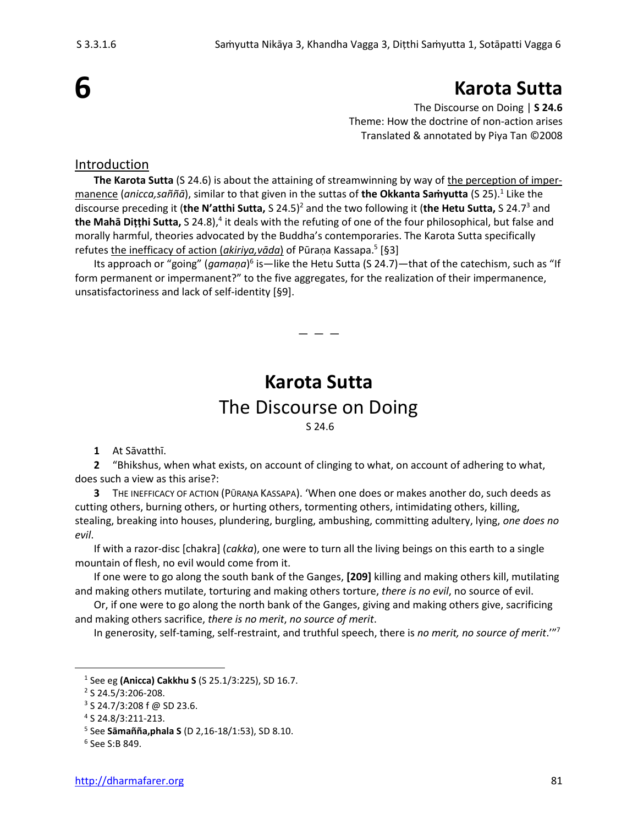# **Karota Sutta**

The Discourse on Doing | **S 24.6** Theme: How the doctrine of non-action arises Translated & annotated by Piya Tan ©2008

### Introduction

**The Karota Sutta** (S 24.6) is about the attaining of streamwinning by way of the perception of impermanence (*anicca,saññā*), similar to that given in the suttas of **the Okkanta Saṁyutta** (S 25).<sup>1</sup> Like the discourse preceding it (**the N'atthi Sutta,** S 24.5)<sup>2</sup> and the two following it (**the Hetu Sutta,** S 24.7<sup>3</sup> and the Mahā Dițțhi Sutta, S 24.8),<sup>4</sup> it deals with the refuting of one of the four philosophical, but false and morally harmful, theories advocated by the Buddha's contemporaries. The Karota Sutta specifically refutes <u>the inefficacy of action (*akiriya,vāda*)</u> of Pūraṇa Kassapa.<sup>5</sup> [§3]

Its approach or "going" (*gamaṇa*)<sup>6</sup> is—like the Hetu Sutta (S 24.7)—that of the catechism, such as "If form permanent or impermanent?" to the five aggregates, for the realization of their impermanence, unsatisfactoriness and lack of self-identity [§9].

— — —

## **Karota Sutta** The Discourse on Doing S 24.6

**1** At Sāvatthī.

**2** "Bhikshus, when what exists, on account of clinging to what, on account of adhering to what, does such a view as this arise?:

**3** THE INEFFICACY OF ACTION (PŪRAṆA KASSAPA). 'When one does or makes another do, such deeds as cutting others, burning others, or hurting others, tormenting others, intimidating others, killing, stealing, breaking into houses, plundering, burgling, ambushing, committing adultery, lying, *one does no evil*.

If with a razor-disc [chakra] (*cakka*), one were to turn all the living beings on this earth to a single mountain of flesh, no evil would come from it.

If one were to go along the south bank of the Ganges, **[209]** killing and making others kill, mutilating and making others mutilate, torturing and making others torture, *there is no evil*, no source of evil.

Or, if one were to go along the north bank of the Ganges, giving and making others give, sacrificing and making others sacrifice, *there is no merit*, *no source of merit*.

In generosity, self-taming, self-restraint, and truthful speech, there is *no merit, no source of merit*.'" 7

<sup>1</sup> See eg **(Anicca) Cakkhu S** (S 25.1/3:225), SD 16.7.

<sup>2</sup> S 24.5/3:206-208.

 $3$  S 24.7/3:208 f @ SD 23.6.

<sup>4</sup> S 24.8/3:211-213.

<sup>5</sup> See **Sāmañña,phala S** (D 2,16-18/1:53), SD 8.10.

<sup>6</sup> See S:B 849.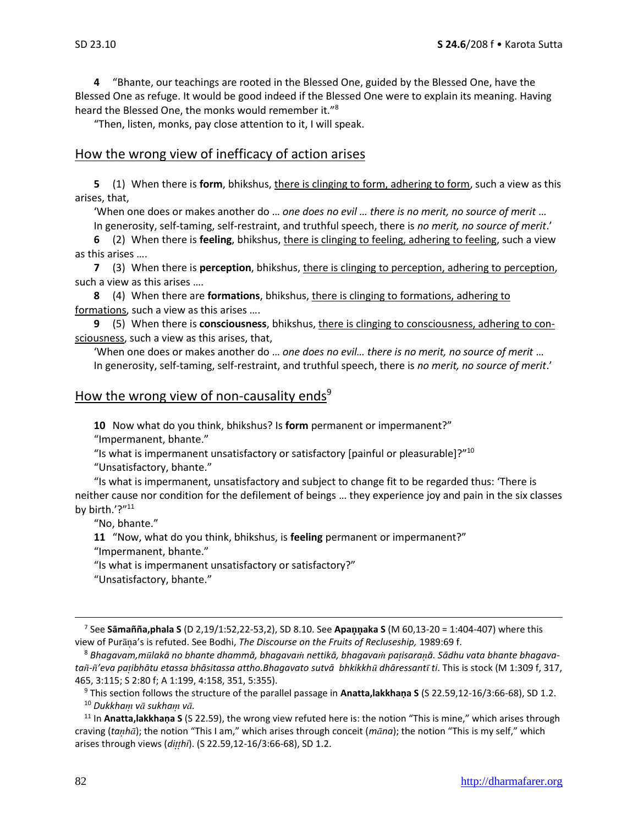**4** "Bhante, our teachings are rooted in the Blessed One, guided by the Blessed One, have the Blessed One as refuge. It would be good indeed if the Blessed One were to explain its meaning. Having heard the Blessed One, the monks would remember it."<sup>8</sup>

"Then, listen, monks, pay close attention to it, I will speak.

#### How the wrong view of inefficacy of action arises

**5** (1) When there is **form**, bhikshus, there is clinging to form, adhering to form, such a view as this arises, that,

'When one does or makes another do … *one does no evil … there is no merit, no source of merit* …

In generosity, self-taming, self-restraint, and truthful speech, there is *no merit, no source of merit*.'

**6** (2) When there is **feeling**, bhikshus, there is clinging to feeling, adhering to feeling, such a view as this arises ….

**7** (3) When there is **perception**, bhikshus, there is clinging to perception, adhering to perception, such a view as this arises ….

**8** (4) When there are **formations**, bhikshus, there is clinging to formations, adhering to formations, such a view as this arises ….

**9** (5) When there is **consciousness**, bhikshus, there is clinging to consciousness, adhering to consciousness, such a view as this arises, that,

'When one does or makes another do … *one does no evil… there is no merit, no source of merit* … In generosity, self-taming, self-restraint, and truthful speech, there is *no merit, no source of merit*.'

#### How the wrong view of non-causality ends $9$

**10** Now what do you think, bhikshus? Is **form** permanent or impermanent?"

"Impermanent, bhante."

"Is what is impermanent unsatisfactory or satisfactory [painful or pleasurable]?"<sup>10</sup>

"Unsatisfactory, bhante."

"Is what is impermanent, unsatisfactory and subject to change fit to be regarded thus: 'There is neither cause nor condition for the defilement of beings … they experience joy and pain in the six classes by birth.'?"<sup>11</sup>

"No, bhante."

**11** "Now, what do you think, bhikshus, is **feeling** permanent or impermanent?"

"Impermanent, bhante."

"Is what is impermanent unsatisfactory or satisfactory?"

"Unsatisfactory, bhante."

<sup>7</sup> See **Sāmañña,phala S** (D 2,19/1:52,22-53,2), SD 8.10. See **Apaaka S** (M 60,13-20 = 1:404-407) where this view of Purana's is refuted. See Bodhi, *The Discourse on the Fruits of Recluseship*, 1989:69 f.

<sup>8</sup> *Bhagavam,mlakā no bhante dhammā, bhagava nettikā, bhagava paisaraā. Sādhu vata bhante bhagavata-'eva paibhātu etassa bhāsitassa attho.Bhagavato sutvā bhkikkh dhāressant ti*. This is stock (M 1:309 f, 317, 465, 3:115; S 2:80 f; A 1:199, 4:158, 351, 5:355).

<sup>9</sup> This section follows the structure of the parallel passage in **Anatta,lakkhaṇa S** (S 22.59,12-16/3:66-68), SD 1.2. <sup>10</sup> Dukkham vā sukham vā.

<sup>11</sup> In **Anatta,lakkhaṇa S** (S 22.59), the wrong view refuted here is: the notion "This is mine," which arises through craving (*tah*); the notion "This I am," which arises through conceit (*mna*); the notion "This is my self," which arises through views (*dihi*). (S 22.59,12-16/3:66-68), SD 1.2.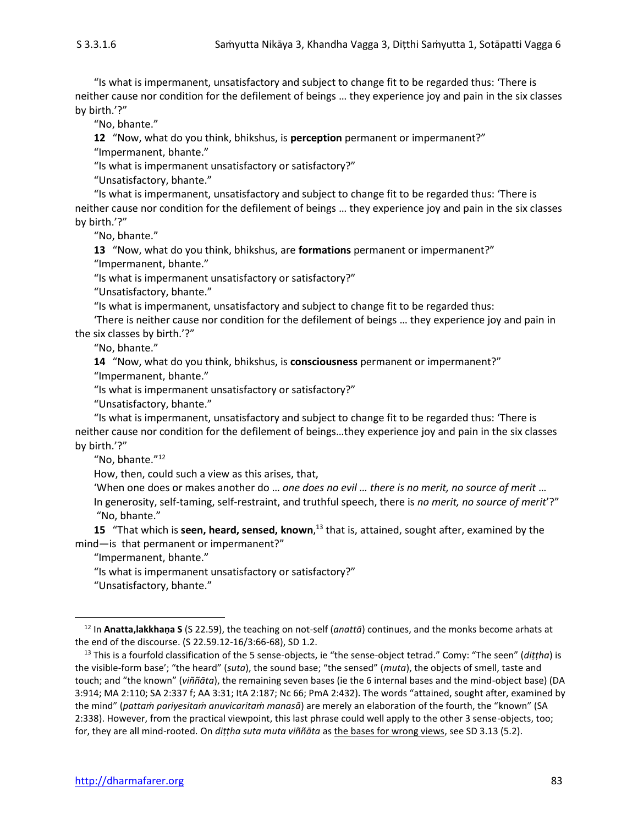"Is what is impermanent, unsatisfactory and subject to change fit to be regarded thus: 'There is neither cause nor condition for the defilement of beings … they experience joy and pain in the six classes by birth.'?"

"No, bhante."

**12** "Now, what do you think, bhikshus, is **perception** permanent or impermanent?"

"Impermanent, bhante."

"Is what is impermanent unsatisfactory or satisfactory?"

"Unsatisfactory, bhante."

"Is what is impermanent, unsatisfactory and subject to change fit to be regarded thus: 'There is neither cause nor condition for the defilement of beings … they experience joy and pain in the six classes by birth.'?"

"No, bhante."

**13** "Now, what do you think, bhikshus, are **formations** permanent or impermanent?" "Impermanent, bhante."

"Is what is impermanent unsatisfactory or satisfactory?"

"Unsatisfactory, bhante."

"Is what is impermanent, unsatisfactory and subject to change fit to be regarded thus:

'There is neither cause nor condition for the defilement of beings … they experience joy and pain in the six classes by birth.'?"

"No, bhante."

**14** "Now, what do you think, bhikshus, is **consciousness** permanent or impermanent?"

"Impermanent, bhante."

"Is what is impermanent unsatisfactory or satisfactory?"

"Unsatisfactory, bhante."

"Is what is impermanent, unsatisfactory and subject to change fit to be regarded thus: 'There is neither cause nor condition for the defilement of beings…they experience joy and pain in the six classes by birth.'?"

"No, bhante."<sup>12</sup>

How, then, could such a view as this arises, that,

'When one does or makes another do … *one does no evil … there is no merit, no source of merit* … In generosity, self-taming, self-restraint, and truthful speech, there is *no merit, no source of merit*'?" "No, bhante."

**15** "That which is **seen, heard, sensed, known**,<sup>13</sup> that is, attained, sought after, examined by the mind—is that permanent or impermanent?"

"Impermanent, bhante."

"Is what is impermanent unsatisfactory or satisfactory?"

"Unsatisfactory, bhante."

<sup>12</sup> In **Anatta,lakkhaṇa S** (S 22.59), the teaching on not-self (*anattā*) continues, and the monks become arhats at the end of the discourse. (S 22.59.12-16/3:66-68), SD 1.2.

<sup>13</sup> This is a fourfold classification of the 5 sense-objects, ie "the sense-object tetrad." Comy: "The seen" (*diṭṭha*) is the visible-form base'; "the heard" (*suta*), the sound base; "the sensed" (*muta*), the objects of smell, taste and touch; and "the known" (*viññāta*), the remaining seven bases (ie the 6 internal bases and the mind-object base) (DA 3:914; MA 2:110; SA 2:337 f; AA 3:31; ItA 2:187; Nc 66; PmA 2:432). The words "attained, sought after, examined by the mind" (*pattaṁ pariyesitaṁ anuvicaritaṁ manasā*) are merely an elaboration of the fourth, the "known" (SA 2:338). However, from the practical viewpoint, this last phrase could well apply to the other 3 sense-objects, too; for, they are all mind-rooted. On *diṭṭha suta muta viññāta* as the bases for wrong views, see SD 3.13 (5.2).